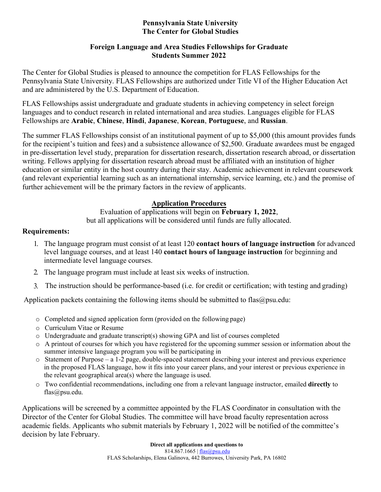#### **Pennsylvania State University The Center for Global Studies**

### **Foreign Language and Area Studies Fellowships for Graduate Students Summer 2022**

The Center for Global Studies is pleased to announce the competition for FLAS Fellowships for the Pennsylvania State University. FLAS Fellowships are authorized under Title VI of the Higher Education Act and are administered by the U.S. Department of Education.

FLAS Fellowships assist undergraduate and graduate students in achieving competency in select foreign languages and to conduct research in related international and area studies. Languages eligible for FLAS Fellowships are **Arabic**, **Chinese**, **Hindi**, **Japanese**, **Korean**, **Portuguese**, and **Russian**.

The summer FLAS Fellowships consist of an institutional payment of up to \$5,000 (this amount provides funds for the recipient's tuition and fees) and a subsistence allowance of \$2,500. Graduate awardees must be engaged in pre-dissertation level study, preparation for dissertation research, dissertation research abroad, or dissertation writing. Fellows applying for dissertation research abroad must be affiliated with an institution of higher education or similar entity in the host country during their stay. Academic achievement in relevant coursework (and relevant experiential learning such as an international internship, service learning, etc.) and the promise of further achievement will be the primary factors in the review of applicants.

## **Application Procedures**

Evaluation of applications will begin on **February 1, 2022**, but all applications will be considered until funds are fully allocated.

## **Requirements:**

- 1. The language program must consist of at least 120 **contact hours of language instruction** for advanced level language courses, and at least 140 **contact hours of language instruction** for beginning and intermediate level language courses.
- 2. The language program must include at least six weeks of instruction.
- 3. The instruction should be performance-based (i.e. for credit or certification; with testing and grading)

Application packets containing the following items should be submitted to flas $@psu.edu$ :

- o Completed and signed application form (provided on the following page)
- o Curriculum Vitae or Resume
- o Undergraduate and graduate transcript(s) showing GPA and list of courses completed
- o A printout of courses for which you have registered for the upcoming summer session or information about the summer intensive language program you will be participating in
- $\circ$  Statement of Purpose a 1-2 page, double-spaced statement describing your interest and previous experience in the proposed FLAS language, how it fits into your career plans, and your interest or previous experience in the relevant geographical area(s) where the language is used.
- o Two confidential recommendations, including one from a relevant language instructor, emailed **directly** to [flas@psu.edu.](mailto:flas@psu.edu)

Applications will be screened by a committee appointed by the FLAS Coordinator in consultation with the Director of the Center for Global Studies. The committee will have broad faculty representation across academic fields. Applicants who submit materials by February 1, 2022 will be notified of the committee's decision by late February.